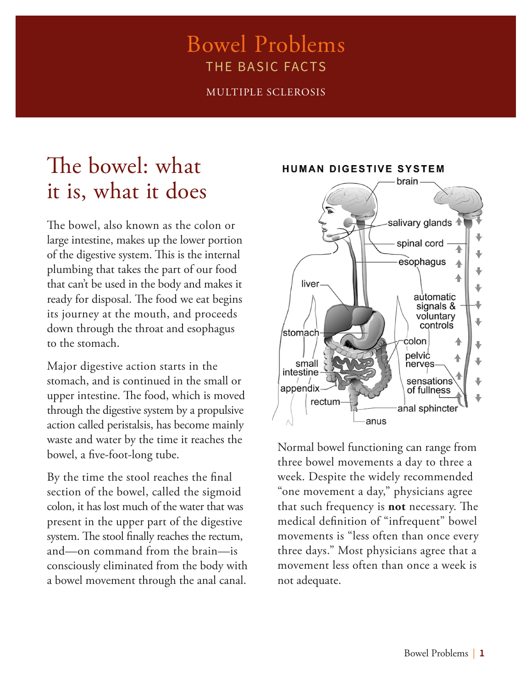### Bowel Problems THE BASIC FACTS

MULTIPLE SCLEROSIS

### The bowel: what it is, what it does

The bowel, also known as the colon or large intestine, makes up the lower portion of the digestive system. This is the internal plumbing that takes the part of our food that can't be used in the body and makes it ready for disposal. The food we eat begins its journey at the mouth, and proceeds down through the throat and esophagus to the stomach.

Major digestive action starts in the stomach, and is continued in the small or upper intestine. The food, which is moved through the digestive system by a propulsive action called peristalsis, has become mainly waste and water by the time it reaches the bowel, a five-foot-long tube.

By the time the stool reaches the final section of the bowel, called the sigmoid colon, it has lost much of the water that was present in the upper part of the digestive system. The stool finally reaches the rectum, and—on command from the brain—is consciously eliminated from the body with a bowel movement through the anal canal.

**HUMAN DIGESTIVE SYSTEM** 



Normal bowel functioning can range from three bowel movements a day to three a week. Despite the widely recommended "one movement a day," physicians agree that such frequency is **not** necessary. The medical definition of "infrequent" bowel movements is "less often than once every three days." Most physicians agree that a movement less often than once a week is not adequate.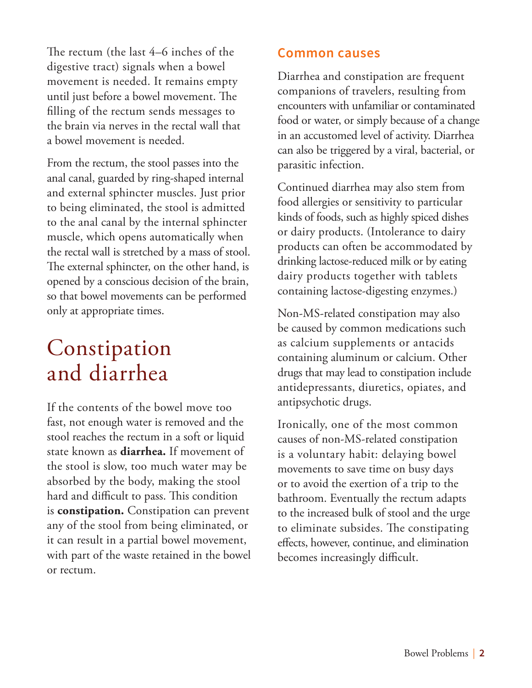The rectum (the last 4–6 inches of the digestive tract) signals when a bowel movement is needed. It remains empty until just before a bowel movement. The filling of the rectum sends messages to the brain via nerves in the rectal wall that a bowel movement is needed.

From the rectum, the stool passes into the anal canal, guarded by ring-shaped internal and external sphincter muscles. Just prior to being eliminated, the stool is admitted to the anal canal by the internal sphincter muscle, which opens automatically when the rectal wall is stretched by a mass of stool. The external sphincter, on the other hand, is opened by a conscious decision of the brain, so that bowel movements can be performed only at appropriate times.

### Constipation and diarrhea

If the contents of the bowel move too fast, not enough water is removed and the stool reaches the rectum in a soft or liquid state known as **diarrhea.** If movement of the stool is slow, too much water may be absorbed by the body, making the stool hard and difficult to pass. This condition is **constipation.** Constipation can prevent any of the stool from being eliminated, or it can result in a partial bowel movement, with part of the waste retained in the bowel or rectum.

#### **Common causes**

Diarrhea and constipation are frequent companions of travelers, resulting from encounters with unfamiliar or contaminated food or water, or simply because of a change in an accustomed level of activity. Diarrhea can also be triggered by a viral, bacterial, or parasitic infection.

Continued diarrhea may also stem from food allergies or sensitivity to particular kinds of foods, such as highly spiced dishes or dairy products. (Intolerance to dairy products can often be accommodated by drinking lactose-reduced milk or by eating dairy products together with tablets containing lactose-digesting enzymes.)

Non-MS-related constipation may also be caused by common medications such as calcium supplements or antacids containing aluminum or calcium. Other drugs that may lead to constipation include antidepressants, diuretics, opiates, and antipsychotic drugs.

Ironically, one of the most common causes of non-MS-related constipation is a voluntary habit: delaying bowel movements to save time on busy days or to avoid the exertion of a trip to the bathroom. Eventually the rectum adapts to the increased bulk of stool and the urge to eliminate subsides. The constipating effects, however, continue, and elimination becomes increasingly difficult.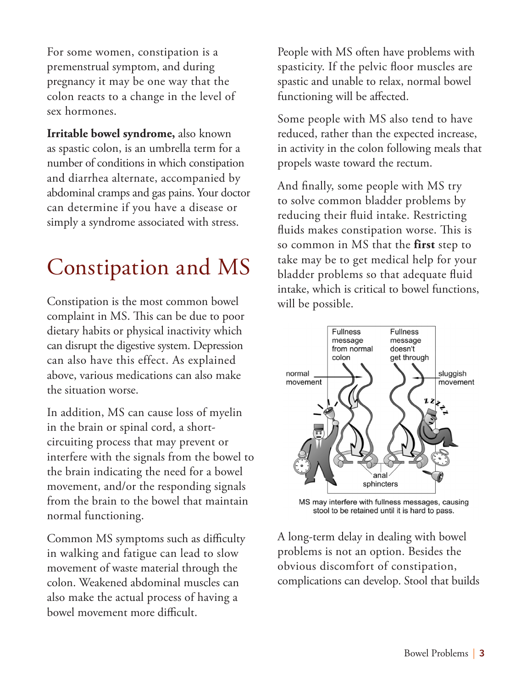For some women, constipation is a premenstrual symptom, and during pregnancy it may be one way that the colon reacts to a change in the level of sex hormones.

**Irritable bowel syndrome,** also known as spastic colon, is an umbrella term for a number of conditions in which constipation and diarrhea alternate, accompanied by abdominal cramps and gas pains. Your doctor can determine if you have a disease or simply a syndrome associated with stress.

## Constipation and MS

Constipation is the most common bowel complaint in MS. This can be due to poor dietary habits or physical inactivity which can disrupt the digestive system. Depression can also have this effect. As explained above, various medications can also make the situation worse.

In addition, MS can cause loss of myelin in the brain or spinal cord, a shortcircuiting process that may prevent or interfere with the signals from the bowel to the brain indicating the need for a bowel movement, and/or the responding signals from the brain to the bowel that maintain normal functioning.

Common MS symptoms such as difficulty in walking and fatigue can lead to slow movement of waste material through the colon. Weakened abdominal muscles can also make the actual process of having a bowel movement more difficult.

People with MS often have problems with spasticity. If the pelvic floor muscles are spastic and unable to relax, normal bowel functioning will be affected.

Some people with MS also tend to have reduced, rather than the expected increase, in activity in the colon following meals that propels waste toward the rectum.

And finally, some people with MS try to solve common bladder problems by reducing their fluid intake. Restricting fluids makes constipation worse. This is so common in MS that the **first** step to take may be to get medical help for your bladder problems so that adequate fluid intake, which is critical to bowel functions, will be possible.



MS may interfere with fullness messages, causing stool to be retained until it is hard to pass.

A long-term delay in dealing with bowel problems is not an option. Besides the obvious discomfort of constipation, complications can develop. Stool that builds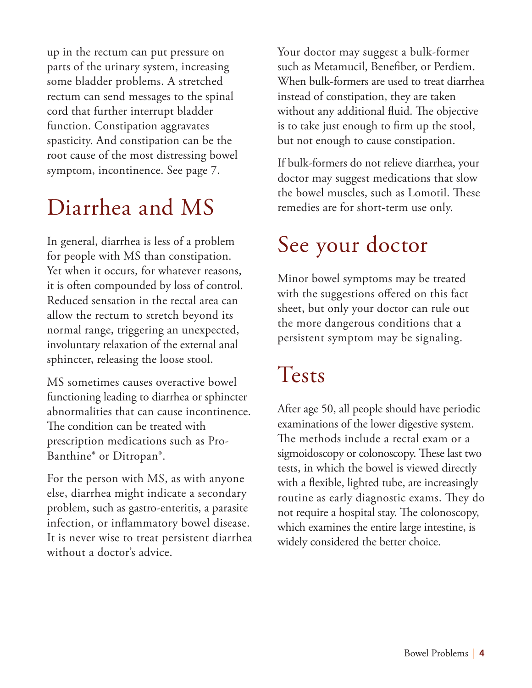up in the rectum can put pressure on parts of the urinary system, increasing some bladder problems. A stretched rectum can send messages to the spinal cord that further interrupt bladder function. Constipation aggravates spasticity. And constipation can be the root cause of the most distressing bowel symptom, incontinence. See page 7.

### Diarrhea and MS

In general, diarrhea is less of a problem for people with MS than constipation. Yet when it occurs, for whatever reasons, it is often compounded by loss of control. Reduced sensation in the rectal area can allow the rectum to stretch beyond its normal range, triggering an unexpected, involuntary relaxation of the external anal sphincter, releasing the loose stool.

MS sometimes causes overactive bowel functioning leading to diarrhea or sphincter abnormalities that can cause incontinence. The condition can be treated with prescription medications such as Pro-Banthine® or Ditropan®.

For the person with MS, as with anyone else, diarrhea might indicate a secondary problem, such as gastro-enteritis, a parasite infection, or inflammatory bowel disease. It is never wise to treat persistent diarrhea without a doctor's advice.

Your doctor may suggest a bulk-former such as Metamucil, Benefiber, or Perdiem. When bulk-formers are used to treat diarrhea instead of constipation, they are taken without any additional fluid. The objective is to take just enough to firm up the stool, but not enough to cause constipation.

If bulk-formers do not relieve diarrhea, your doctor may suggest medications that slow the bowel muscles, such as Lomotil. These remedies are for short-term use only.

# See your doctor

Minor bowel symptoms may be treated with the suggestions offered on this fact sheet, but only your doctor can rule out the more dangerous conditions that a persistent symptom may be signaling.

## Tests

After age 50, all people should have periodic examinations of the lower digestive system. The methods include a rectal exam or a sigmoidoscopy or colonoscopy. These last two tests, in which the bowel is viewed directly with a flexible, lighted tube, are increasingly routine as early diagnostic exams. They do not require a hospital stay. The colonoscopy, which examines the entire large intestine, is widely considered the better choice.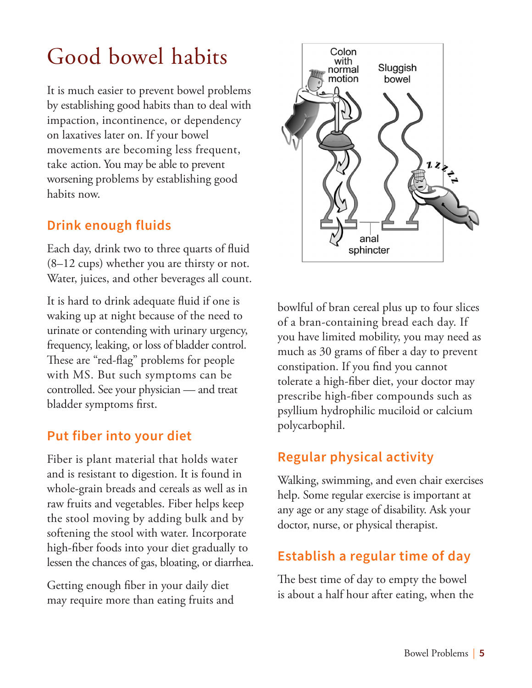## Good bowel habits

It is much easier to prevent bowel problems by establishing good habits than to deal with impaction, incontinence, or dependency on laxatives later on. If your bowel movements are becoming less frequent, take action. You may be able to prevent worsening problems by establishing good habits now.

#### **Drink enough fluids**

Each day, drink two to three quarts of fluid (8–12 cups) whether you are thirsty or not. Water, juices, and other beverages all count.

It is hard to drink adequate fluid if one is waking up at night because of the need to urinate or contending with urinary urgency, frequency, leaking, or loss of bladder control. These are "red-flag" problems for people with MS. But such symptoms can be controlled. See your physician — and treat bladder symptoms first.

#### **Put fiber into your diet**

Fiber is plant material that holds water and is resistant to digestion. It is found in whole-grain breads and cereals as well as in raw fruits and vegetables. Fiber helps keep the stool moving by adding bulk and by softening the stool with water. Incorporate high-fiber foods into your diet gradually to lessen the chances of gas, bloating, or diarrhea.

Getting enough fiber in your daily diet may require more than eating fruits and



bowlful of bran cereal plus up to four slices of a bran-containing bread each day. If you have limited mobility, you may need as much as 30 grams of fiber a day to prevent constipation. If you find you cannot tolerate a high-fiber diet, your doctor may prescribe high-fiber compounds such as psyllium hydrophilic muciloid or calcium polycarbophil.

### **Regular physical activity**

Walking, swimming, and even chair exercises help. Some regular exercise is important at any age or any stage of disability. Ask your doctor, nurse, or physical therapist.

### **Establish a regular time of day**

The best time of day to empty the bowel is about a half hour after eating, when the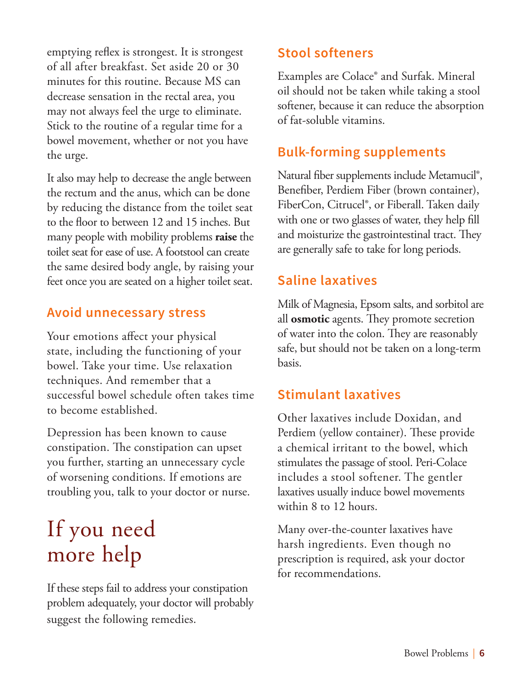emptying reflex is strongest. It is strongest of all after breakfast. Set aside 20 or 30 minutes for this routine. Because MS can decrease sensation in the rectal area, you may not always feel the urge to eliminate. Stick to the routine of a regular time for a bowel movement, whether or not you have the urge.

It also may help to decrease the angle between the rectum and the anus, which can be done by reducing the distance from the toilet seat to the floor to between 12 and 15 inches. But many people with mobility problems **raise** the toilet seat for ease of use. A footstool can create the same desired body angle, by raising your feet once you are seated on a higher toilet seat.

#### **Avoid unnecessary stress**

Your emotions affect your physical state, including the functioning of your bowel. Take your time. Use relaxation techniques. And remember that a successful bowel schedule often takes time to become established.

Depression has been known to cause constipation. The constipation can upset you further, starting an unnecessary cycle of worsening conditions. If emotions are troubling you, talk to your doctor or nurse.

### If you need more help

If these steps fail to address your constipation problem adequately, your doctor will probably suggest the following remedies.

#### **Stool softeners**

Examples are Colace® and Surfak. Mineral oil should not be taken while taking a stool softener, because it can reduce the absorption of fat-soluble vitamins.

#### **Bulk-forming supplements**

Natural fiber supplements include Metamucil®, Benefiber, Perdiem Fiber (brown container), FiberCon, Citrucel®, or Fiberall. Taken daily with one or two glasses of water, they help fill and moisturize the gastrointestinal tract. They are generally safe to take for long periods.

### **Saline laxatives**

Milk of Magnesia, Epsom salts, and sorbitol are all **osmotic** agents. They promote secretion of water into the colon. They are reasonably safe, but should not be taken on a long-term basis.

### **Stimulant laxatives**

Other laxatives include Doxidan, and Perdiem (yellow container). These provide a chemical irritant to the bowel, which stimulates the passage of stool. Peri-Colace includes a stool softener. The gentler laxatives usually induce bowel movements within 8 to 12 hours.

Many over-the-counter laxatives have harsh ingredients. Even though no prescription is required, ask your doctor for recommendations.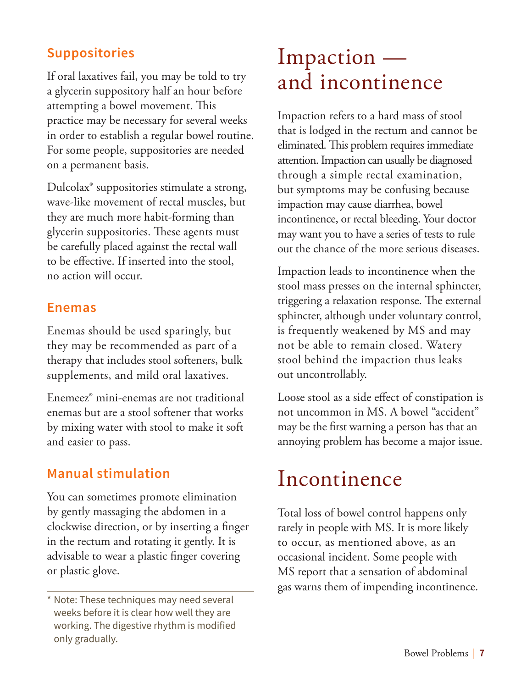### **Suppositories**

If oral laxatives fail, you may be told to try a glycerin suppository half an hour before attempting a bowel movement. This practice may be necessary for several weeks in order to establish a regular bowel routine. For some people, suppositories are needed on a permanent basis.

Dulcolax® suppositories stimulate a strong, wave-like movement of rectal muscles, but they are much more habit-forming than glycerin suppositories. These agents must be carefully placed against the rectal wall to be effective. If inserted into the stool, no action will occur.

#### **Enemas**

Enemas should be used sparingly, but they may be recommended as part of a therapy that includes stool softeners, bulk supplements, and mild oral laxatives.

Enemeez® mini-enemas are not traditional enemas but are a stool softener that works by mixing water with stool to make it soft and easier to pass.

### **Manual stimulation**

You can sometimes promote elimination by gently massaging the abdomen in a clockwise direction, or by inserting a finger in the rectum and rotating it gently. It is advisable to wear a plastic finger covering or plastic glove.

### Impaction and incontinence

Impaction refers to a hard mass of stool that is lodged in the rectum and cannot be eliminated. This problem requires immediate attention. Impaction can usually be diagnosed through a simple rectal examination, but symptoms may be confusing because impaction may cause diarrhea, bowel incontinence, or rectal bleeding. Your doctor may want you to have a series of tests to rule out the chance of the more serious diseases.

Impaction leads to incontinence when the stool mass presses on the internal sphincter, triggering a relaxation response. The external sphincter, although under voluntary control, is frequently weakened by MS and may not be able to remain closed. Watery stool behind the impaction thus leaks out uncontrollably.

Loose stool as a side effect of constipation is not uncommon in MS. A bowel "accident" may be the first warning a person has that an annoying problem has become a major issue.

### Incontinence

Total loss of bowel control happens only rarely in people with MS. It is more likely to occur, as mentioned above, as an occasional incident. Some people with MS report that a sensation of abdominal gas warns them of impending incontinence.

<sup>\*</sup> Note: These techniques may need several weeks before it is clear how well they are working. The digestive rhythm is modified only gradually.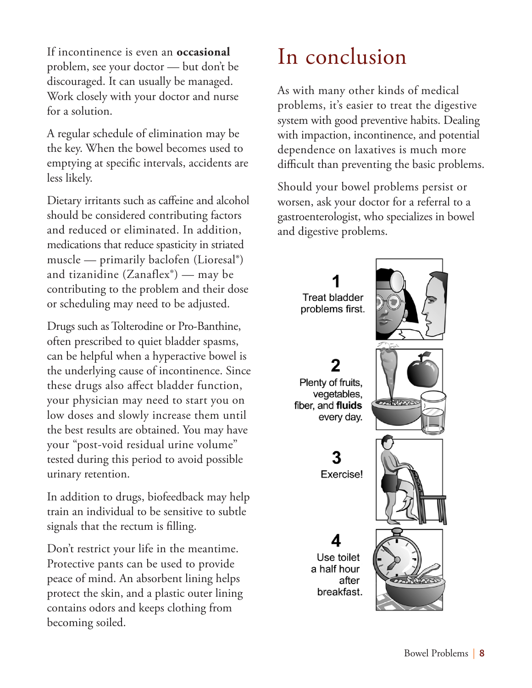If incontinence is even an **occasional** problem, see your doctor — but don't be discouraged. It can usually be managed. Work closely with your doctor and nurse for a solution.

A regular schedule of elimination may be the key. When the bowel becomes used to emptying at specific intervals, accidents are less likely.

Dietary irritants such as caffeine and alcohol should be considered contributing factors and reduced or eliminated. In addition, medications that reduce spasticity in striated muscle — primarily baclofen (Lioresal®) and tizanidine  $(Zanaflex^{\circ})$  — may be contributing to the problem and their dose or scheduling may need to be adjusted.

Drugs such as Tolterodine or Pro-Banthine, often prescribed to quiet bladder spasms, can be helpful when a hyperactive bowel is the underlying cause of incontinence. Since these drugs also affect bladder function, your physician may need to start you on low doses and slowly increase them until the best results are obtained. You may have your "post-void residual urine volume" tested during this period to avoid possible urinary retention.

In addition to drugs, biofeedback may help train an individual to be sensitive to subtle signals that the rectum is filling.

Don't restrict your life in the meantime. Protective pants can be used to provide peace of mind. An absorbent lining helps protect the skin, and a plastic outer lining contains odors and keeps clothing from becoming soiled.

### In conclusion

As with many other kinds of medical problems, it's easier to treat the digestive system with good preventive habits. Dealing with impaction, incontinence, and potential dependence on laxatives is much more difficult than preventing the basic problems.

Should your bowel problems persist or worsen, ask your doctor for a referral to a gastroenterologist, who specializes in bowel and digestive problems.